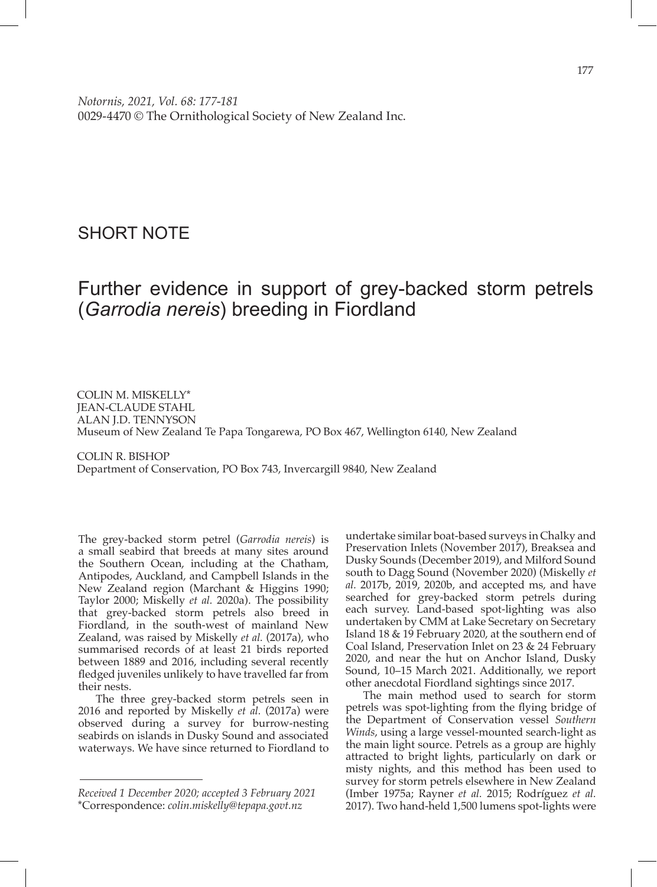## SHORT NOTE

## Further evidence in support of grey-backed storm petrels (*Garrodia nereis*) breeding in Fiordland

COLIN M. MISKELLY\* JEAN-CLAUDE STAHL ALAN J.D. TENNYSON Museum of New Zealand Te Papa Tongarewa, PO Box 467, Wellington 6140, New Zealand

COLIN R. BISHOP Department of Conservation, PO Box 743, Invercargill 9840, New Zealand

The grey-backed storm petrel (*Garrodia nereis*) is a small seabird that breeds at many sites around the Southern Ocean, including at the Chatham, Antipodes, Auckland, and Campbell Islands in the New Zealand region (Marchant & Higgins 1990; Taylor 2000; Miskelly *et al.* 2020a). The possibility that grey-backed storm petrels also breed in Fiordland, in the south-west of mainland New Zealand, was raised by Miskelly *et al.* (2017a), who summarised records of at least 21 birds reported between 1889 and 2016, including several recently fledged juveniles unlikely to have travelled far from their nests.

The three grey-backed storm petrels seen in 2016 and reported by Miskelly *et al.* (2017a) were observed during a survey for burrow-nesting seabirds on islands in Dusky Sound and associated waterways. We have since returned to Fiordland to

undertake similar boat-based surveys in Chalky and Preservation Inlets (November 2017), Breaksea and Dusky Sounds (December 2019), and Milford Sound south to Dagg Sound (November 2020) (Miskelly *et al.* 2017b, 2019, 2020b, and accepted ms, and have searched for grey-backed storm petrels during each survey. Land-based spot-lighting was also undertaken by CMM at Lake Secretary on Secretary Island 18 & 19 February 2020, at the southern end of Coal Island, Preservation Inlet on 23 & 24 February 2020, and near the hut on Anchor Island, Dusky Sound, 10–15 March 2021. Additionally, we report other anecdotal Fiordland sightings since 2017.

The main method used to search for storm petrels was spot-lighting from the flying bridge of the Department of Conservation vessel *Southern Winds*, using a large vessel-mounted search-light as the main light source. Petrels as a group are highly attracted to bright lights, particularly on dark or misty nights, and this method has been used to survey for storm petrels elsewhere in New Zealand (Imber 1975a; Rayner *et al.* 2015; Rodríguez *et al.* 2017). Two hand-held 1,500 lumens spot-lights were

*Received 1 December 2020; accepted 3 February 2021* \*Correspondence: *colin.miskelly@tepapa.govt.nz*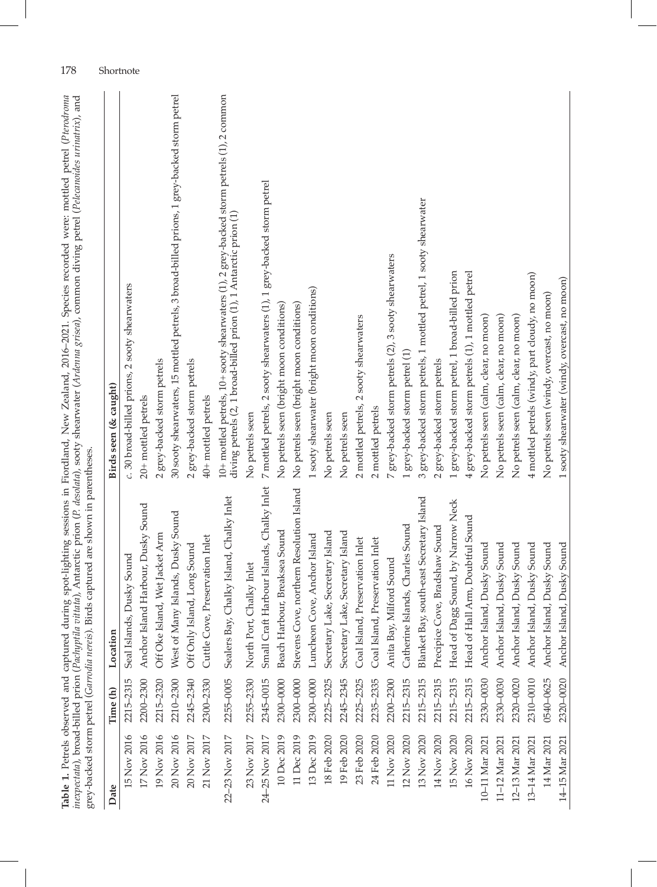| Table 1. Petrels observed and captured during spot-lighting sessions in Fiordland, New Zealand, 2016-2021. Species recorded were mottled petrel (Pterodroma<br>inexpectata), broad-billed prion (Pachyptila vittata), Antarctic prion (P. desolata), sooty shearwater (Arderna grisea), common diving petrel (Pelecanoides urinatrix), and<br>grey-backed storm petrel (Garrodia nereis). Birds captured are shown in parentheses. |           |                                             |                                                                                                                                                                           |
|------------------------------------------------------------------------------------------------------------------------------------------------------------------------------------------------------------------------------------------------------------------------------------------------------------------------------------------------------------------------------------------------------------------------------------|-----------|---------------------------------------------|---------------------------------------------------------------------------------------------------------------------------------------------------------------------------|
| Date                                                                                                                                                                                                                                                                                                                                                                                                                               | Time (h)  | Location                                    | Birds seen (& caught)                                                                                                                                                     |
| 15 Nov 2016                                                                                                                                                                                                                                                                                                                                                                                                                        | 2215-2315 | Seal Islands, Dusky Sound                   | c. 30 broad-billed prions, 2 sooty shearwaters                                                                                                                            |
| 17 Nov 2016                                                                                                                                                                                                                                                                                                                                                                                                                        | 2200-2300 | Anchor Island Harbour, Dusky Sound          | 20+ mottled petrels                                                                                                                                                       |
| 19 Nov 2016                                                                                                                                                                                                                                                                                                                                                                                                                        | 2215-2320 | Off Oke Island, Wet Jacket Arm              | 2 grey-backed storm petrels                                                                                                                                               |
| 20 Nov 2016                                                                                                                                                                                                                                                                                                                                                                                                                        | 2210-2300 | Many Islands, Dusky Sound<br>West of        | 30 sooty shearwaters, 15 mottled petrels, 3 broad-billed prions, 1 grey-backed storm petrel                                                                               |
| 20 Nov 2017                                                                                                                                                                                                                                                                                                                                                                                                                        | 2245-2340 | Off Only Island, Long Sound                 | 2 grey-backed storm petrels                                                                                                                                               |
| 21 Nov 2017                                                                                                                                                                                                                                                                                                                                                                                                                        | 2300-2330 | Cuttle Cove, Preservation Inlet             | 40+ mottled petrels                                                                                                                                                       |
| 22-23 Nov 2017                                                                                                                                                                                                                                                                                                                                                                                                                     | 2255-0005 | Bay, Chalky Island, Chalky Inlet<br>Sealers | $10+$ mottled petrels, $10+$ sooty shearwaters $(1)$ , 2 grey-backed storm petrels $(1)$ , 2 common<br>diving petrels (2, 1 broad-billed prion (1), 1 Antarctic prion (1) |
| 23 Nov 2017                                                                                                                                                                                                                                                                                                                                                                                                                        | 2255-2330 | North Port, Chalky Inlet                    | No petrels seen                                                                                                                                                           |
| 24-25 Nov 2017                                                                                                                                                                                                                                                                                                                                                                                                                     | 2345-0015 | Small Craft Harbour Islands, Chalky Inlet   | 7 mottled petrels, 2 sooty shearwaters (1), 1 grey-backed storm petrel                                                                                                    |
| 10 Dec 2019                                                                                                                                                                                                                                                                                                                                                                                                                        | 2300-0000 | Beach Harbour, Breaksea Sound               | No petrels seen (bright moon conditions)                                                                                                                                  |
| 11 Dec 2019                                                                                                                                                                                                                                                                                                                                                                                                                        | 2300-0000 | Stevens Cove, northern Resolution Island    | No petrels seen (bright moon conditions)                                                                                                                                  |
| 13 Dec 2019                                                                                                                                                                                                                                                                                                                                                                                                                        | 2300-0000 | Luncheon Cove, Anchor Island                | 1 sooty shearwater (bright moon conditions)                                                                                                                               |
| 18 Feb 2020                                                                                                                                                                                                                                                                                                                                                                                                                        | 2225-2325 | Secretary Lake, Secretary Island            | No petrels seen                                                                                                                                                           |
| 19 Feb 2020                                                                                                                                                                                                                                                                                                                                                                                                                        | 2245-2345 | Secretary Lake, Secretary Island            | No petrels seen                                                                                                                                                           |
| 23 Feb 2020                                                                                                                                                                                                                                                                                                                                                                                                                        | 2225-2325 | Coal Island, Preservation Inlet             | 2 mottled petrels, 2 sooty shearwaters                                                                                                                                    |
| 24 Feb 2020                                                                                                                                                                                                                                                                                                                                                                                                                        | 2235-2335 | Coal Island, Preservation Inlet             | 2 mottled petrels                                                                                                                                                         |
| 11 Nov 2020                                                                                                                                                                                                                                                                                                                                                                                                                        | 2200-2300 | Anita Bay, Milford Sound                    | 7 grey-backed storm petrels (2), 3 sooty shearwaters                                                                                                                      |
| 12 Nov 2020                                                                                                                                                                                                                                                                                                                                                                                                                        | 2215-2315 | Catherine Islands, Charles Sound            | grey-backed storm petrel (1)                                                                                                                                              |
| 13 Nov 2020                                                                                                                                                                                                                                                                                                                                                                                                                        | 2215-2315 | Blanket Bay, south-east Secretary Island    | grey-backed storm petrels, 1 mottled petrel, 1 sooty shearwater<br>ω                                                                                                      |
| 14 Nov 2020                                                                                                                                                                                                                                                                                                                                                                                                                        | 2215-2315 | Precipice Cove, Bradshaw Sound              | 2 grey-backed storm petrels                                                                                                                                               |
| 15 Nov 2020                                                                                                                                                                                                                                                                                                                                                                                                                        | 2215-2315 | Head of Dagg Sound, by Narrow Neck          | grey-backed storm petrel, 1 broad-billed prion                                                                                                                            |
| 16 Nov 2020                                                                                                                                                                                                                                                                                                                                                                                                                        | 2215-2315 | Head of Hall Arm, Doubtful Sound            | 4 grey-backed storm petrels (1), 1 mottled petrel                                                                                                                         |
| 10-11 Mar 202                                                                                                                                                                                                                                                                                                                                                                                                                      | 2330-0030 | Anchor Island, Dusky Sound                  | No petrels seen (calm, clear, no moon)                                                                                                                                    |
| 11-12 Mar 202                                                                                                                                                                                                                                                                                                                                                                                                                      | 2330-0030 | Anchor Island, Dusky Sound                  | No petrels seen (calm, clear, no moon)                                                                                                                                    |
| 12-13 Mar 202                                                                                                                                                                                                                                                                                                                                                                                                                      | 2320-0020 | Anchor Island, Dusky Sound                  | No petrels seen (calm, clear, no moon)                                                                                                                                    |
| 13-14 Mar 2021                                                                                                                                                                                                                                                                                                                                                                                                                     | 2310-0010 | Anchor Island, Dusky Sound                  | 4 mottled petrels (windy, part cloudy, no moon)                                                                                                                           |
| 14 Mar 2021                                                                                                                                                                                                                                                                                                                                                                                                                        | 0540-0625 | Anchor Island, Dusky Sound                  | No petrels seen (windy, overcast, no moon)                                                                                                                                |
| 14-15 Mar 2021                                                                                                                                                                                                                                                                                                                                                                                                                     | 2320-0020 | Anchor Island, Dusky Sound                  | 1 sooty shearwater (windy, overcast, no moon)                                                                                                                             |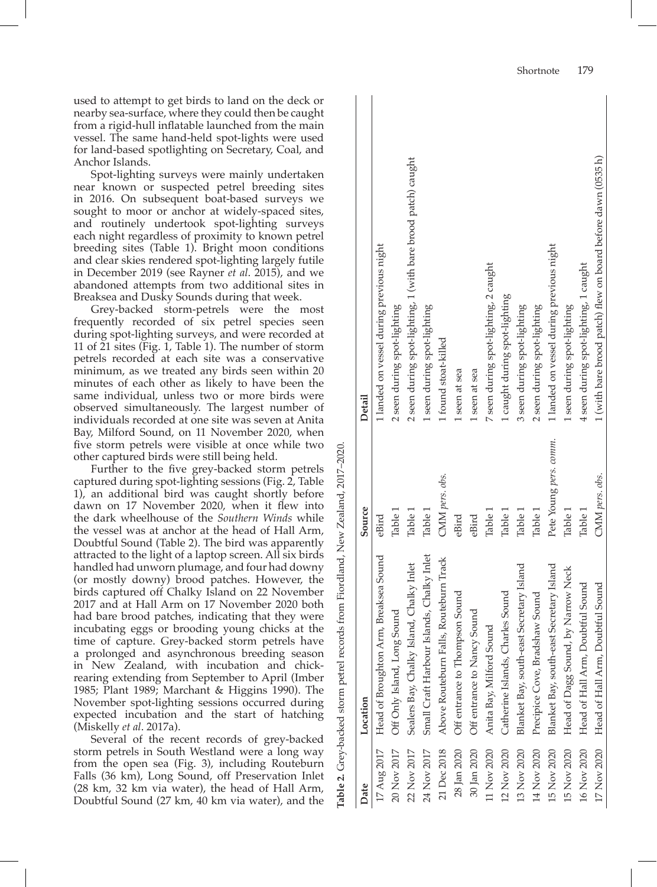used to attempt to get birds to land on the deck or nearby sea-surface, where they could then be caught from a rigid-hull inflatable launched from the main vessel. The same hand-held spot-lights were used for land-based spotlighting on Secretary, Coal, and Anchor Islands.

Spot-lighting surveys were mainly undertaken near known or suspected petrel breeding sites in 2016. On subsequent boat-based surveys we sought to moor or anchor at widely-spaced sites, and routinely undertook spot-lighting surveys each night regardless of proximity to known petrel breeding sites (Table 1). Bright moon conditions and clear skies rendered spot-lighting largely futile in December 2019 (see Rayner *et al*. 2015), and we abandoned attempts from two additional sites in Breaksea and Dusky Sounds during that week.

Grey-backed storm-petrels were the most frequently recorded of six petrel species seen during spot-lighting surveys, and were recorded at 11 of  $21$  sites (Fig. 1, Table 1). The number of storm petrels recorded at each site was a conservative minimum, as we treated any birds seen within 20 minutes of each other as likely to have been the same individual, unless two or more birds were observed simultaneously. The largest number of individuals recorded at one site was seven at Anita Bay, Milford Sound, on 11 November 2020, when five storm petrels were visible at once while two other captured birds were still being held.

Further to the five grey-backed storm petrels captured during spot-lighting sessions (Fig. 2, Table 1), an additional bird was caught shortly before dawn on 17 November 2020, when it flew into the dark wheelhouse of the *Southern Winds* while the vessel was at anchor at the head of Hall Arm, Doubtful Sound (Table 2). The bird was apparently attracted to the light of a laptop screen. All six birds handled had unworn plumage, and four had downy (or mostly downy) brood patches. However, the birds captured off Chalky Island on 22 November 2017 and at Hall Arm on 17 November 2020 both had bare brood patches, indicating that they were incubating eggs or brooding young chicks at the time of capture. Grey-backed storm petrels have a prolonged and asynchronous breeding season in New Zealand, with incubation and chickrearing extending from September to April (Imber 1985; Plant 1989; Marchant & Higgins 1990). The November spot-lighting sessions occurred during expected incubation and the start of hatching (Miskelly *et al*. 2017a).

Several of the recent records of grey-backed storm petrels in South Westland were a long way from the open sea (Fig. 3), including Routeburn Falls (36 km), Long Sound, off Preservation Inlet (28 km, 32 km via water), the head of Hall Arm, Doubtful Sound (27 km, 40 km via water), and the

| Date        | Location                                     | Source                 | Detail                                                        |
|-------------|----------------------------------------------|------------------------|---------------------------------------------------------------|
| 17 Aug 2017 | Head of Broughton Arm, Breaksea Sound        | eBird                  | 1 landed on vessel during previous night                      |
| 20 Nov 2017 | Off Only Island, Long Sound                  | Table 1                | 2 seen during spot-lighting                                   |
| 22 Nov 2017 | Sealers Bay, Chalky Island, Chalky Inlet     | Table 1                | 2 seen during spot-lighting, 1 (with bare brood patch) caught |
| 24 Nov 2017 | Small Craft Harbour Islands, Chalky Inlet    | Table 1                | 1 seen during spot-lighting                                   |
| 21 Dec 2018 | Above Routeburn Falls, Routeburn Track       | CMM pers. obs.         | 1 found stoat-killed                                          |
|             | 28 Jan 2020 Off entrance to Thompson Sound   | eBird                  | 1 seen at sea                                                 |
|             | 30 Jan 2020 Off entrance to Nancy Sound      | eBird                  | 1 seen at sea                                                 |
| 11 Nov 2020 | Anita Bay, Milford Sound                     | Table 1                | 7 seen during spot-lighting, 2 caught                         |
| 12 Nov 2020 | Catherine Islands, Charles Sound             | Table 1                | 1 caught during spot-lighting                                 |
| 13 Nov 2020 | Blanket Bay, south-east Secretary Island     | Table 1                | 3 seen during spot-lighting                                   |
|             | 14 Nov 2020 Precipice Cove, Bradshaw Sound   | Table 1                | 2 seen during spot-lighting                                   |
| 15 Nov 2020 | Blanket Bay, south-east Secretary Island     | Pete Young pers. comm. | 1 landed on vessel during previous night                      |
| 15 Nov 2020 | Head of Dagg Sound, by Narrow Neck           | Table 1                | 1 seen during spot-lighting                                   |
| 16 Nov 2020 | Head of Hall Arm, Doubtful Sound             | Table 1                | 4 seen during spot-lighting, 1 caught                         |
|             | 17 Nov 2020 Head of Hall Arm, Doubtful Sound | CMM pers. obs.         | 1 (with bare brood patch) flew on board before dawn (0535 h)  |
|             |                                              |                        |                                                               |

**Table 2.** Grey-backed storm petrel records from Fiordland, New Zealand, 2017–2020. New Zealand, 2017-2 Fiordland, records from petrel Grev-backed storm  $\overline{N}$ Table 2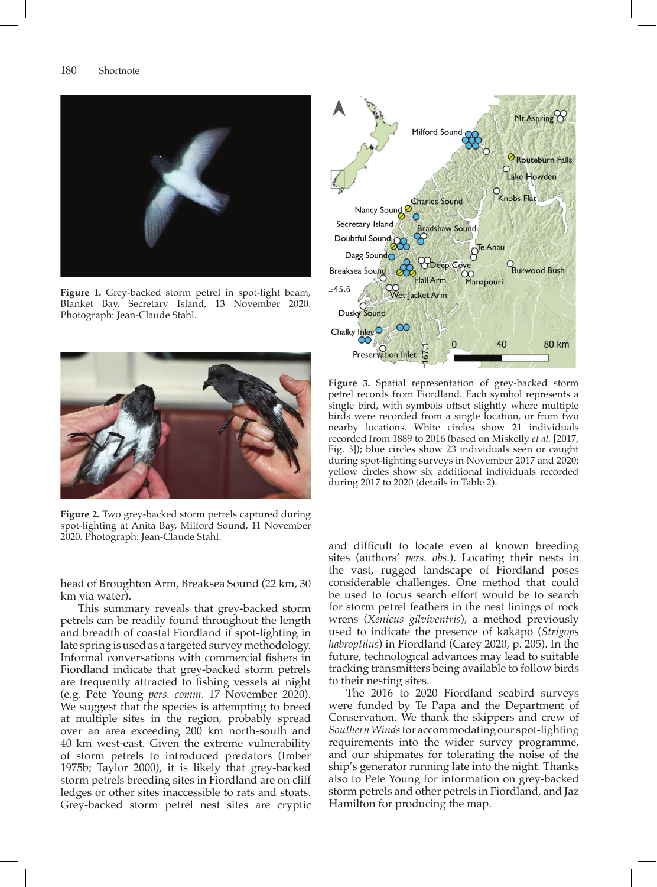

**Figure 1.** Grey-backed storm petrel in spot-light beam, Blanket Bay, Secretary Island, 13 November 2020. Photograph: Jean-Claude Stahl.



**Figure 2.** Two grey-backed storm petrels captured during spot-lighting at Anita Bay, Milford Sound, 11 November 2020. Photograph: Jean-Claude Stahl.

head of Broughton Arm, Breaksea Sound (22 km, 30 km via water).

This summary reveals that grey-backed storm petrels can be readily found throughout the length and breadth of coastal Fiordland if spot-lighting in late spring is used as a targeted survey methodology. Informal conversations with commercial fishers in Fiordland indicate that grey-backed storm petrels are frequently attracted to fishing vessels at night (e.g. Pete Young *pers. comm*. 17 November 2020). We suggest that the species is attempting to breed at multiple sites in the region, probably spread over an area exceeding 200 km north-south and 40 km west-east. Given the extreme vulnerability of storm petrels to introduced predators (Imber 1975b; Taylor 2000), it is likely that grey-backed storm petrels breeding sites in Fiordland are on cliff ledges or other sites inaccessible to rats and stoats. Grey-backed storm petrel nest sites are cryptic



**Figure 3.** Spatial representation of grey-backed storm petrel records from Fiordland. Each symbol represents a single bird, with symbols offset slightly where multiple birds were recorded from a single location, or from two nearby locations. White circles show 21 individuals recorded from 1889 to 2016 (based on Miskelly *et al.* [2017, Fig. 3]); blue circles show 23 individuals seen or caught during spot-lighting surveys in November 2017 and 2020; yellow circles show six additional individuals recorded during 2017 to 2020 (details in Table 2).

and difficult to locate even at known breeding sites (authors' *pers. obs*.). Locating their nests in the vast, rugged landscape of Fiordland poses considerable challenges. One method that could be used to focus search effort would be to search for storm petrel feathers in the nest linings of rock wrens (*Xenicus gilviventris*), a method previously used to indicate the presence of kākāpō (*Strigops habroptilus*) in Fiordland (Carey 2020, p. 205). In the future, technological advances may lead to suitable tracking transmitters being available to follow birds to their nesting sites.

The 2016 to 2020 Fiordland seabird surveys were funded by Te Papa and the Department of Conservation. We thank the skippers and crew of *Southern Winds* for accommodating our spot-lighting requirements into the wider survey programme, and our shipmates for tolerating the noise of the ship's generator running late into the night. Thanks also to Pete Young for information on grey-backed storm petrels and other petrels in Fiordland, and Jaz Hamilton for producing the map.